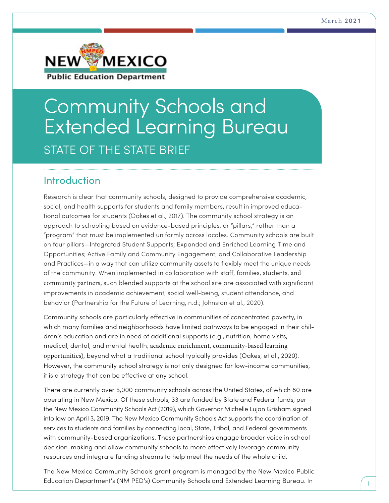

# Community Schools and Extended Learning Bureau STATE OF THE STATE BRIEF

## Introduction

Research is clear that community schools, designed to provide comprehensive academic, social, and health supports for students and family members, result in improved educational outcomes for students (Oakes et al., 2017). The community school strategy is an approach to schooling based on evidence-based principles, or "pillars," rather than a "program" that must be implemented uniformly across locales. Community schools are built on four pillars—Integrated Student Supports; Expanded and Enriched Learning Time and Opportunities; Active Family and Community Engagement; and Collaborative Leadership and Practices—in a way that can utilize community assets to flexibly meet the unique needs of the community. When implemented in collaboration with staff, families, students, and community partners, such blended supports at the school site are associated with significant improvements in academic achievement, social well-being, student attendance, and behavior (Partnership for the Future of Learning, n.d.; Johnston et al., 2020).

Community schools are particularly effective in communities of concentrated poverty, in which many families and neighborhoods have limited pathways to be engaged in their children's education and are in need of additional supports (e.g., nutrition, home visits, medical, dental, and mental health, academic enrichment, community-based learning opportunities), beyond what a traditional school typically provides (Oakes, et al., 2020). However, the community school strategy is not only designed for low-income communities, it is a strategy that can be effective at any school.

There are currently over 5,000 community schools across the United States, of which 80 are operating in New Mexico. Of these schools, 33 are funded by State and Federal funds, per the New Mexico Community Schools Act (2019), which Governor Michelle Lujan Grisham signed into law on April 3, 2019. The New Mexico Community Schools Act supports the coordination of services to students and families by connecting local, State, Tribal, and Federal governments with community-based organizations. These partnerships engage broader voice in school decision-making and allow community schools to more effectively leverage community resources and integrate funding streams to help meet the needs of the whole child.

The New Mexico Community Schools grant program is managed by the New Mexico Public Education Department's (NM PED's) Community Schools and Extended Learning Bureau. In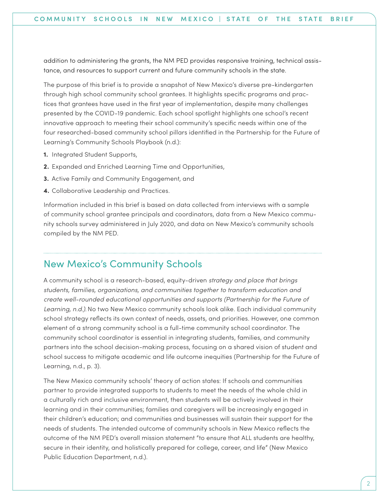addition to administering the grants, the NM PED provides responsive training, technical assistance, and resources to support current and future community schools in the state.

The purpose of this brief is to provide a snapshot of New Mexico's diverse pre-kindergarten through high school community school grantees. It highlights specific programs and practices that grantees have used in the first year of implementation, despite many challenges presented by the COVID-19 pandemic. Each school spotlight highlights one school's recent innovative approach to meeting their school community's specific needs within one of the four researched-based community school pillars identified in the Partnership for the Future of Learning's Community Schools Playbook (n.d.):

- **1.** Integrated Student Supports,
- **2.** Expanded and Enriched Learning Time and Opportunities,
- **3.** Active Family and Community Engagement, and
- **4.** Collaborative Leadership and Practices.

Information included in this brief is based on data collected from interviews with a sample of community school grantee principals and coordinators, data from a New Mexico community schools survey administered in July 2020, and data on New Mexico's community schools compiled by the NM PED.

## New Mexico's Community Schools

A community school is a research-based, equity-driven *strategy and place that brings students, families, organizations, and communities together to transform education and create well-rounded educational opportunities and supports (Partnership for the Future of Learning, n.d.).*No two New Mexico community schools look alike. Each individual community school strategy reflects its own context of needs, assets, and priorities. However, one common element of a strong community school is a full-time community school coordinator. The community school coordinator is essential in integrating students, families, and community partners into the school decision-making process, focusing on a shared vision of student and school success to mitigate academic and life outcome inequities (Partnership for the Future of Learning, n.d., p. 3).

The New Mexico community schools' theory of action states: If schools and communities partner to provide integrated supports to students to meet the needs of the whole child in a culturally rich and inclusive environment, then students will be actively involved in their learning and in their communities; families and caregivers will be increasingly engaged in their children's education; and communities and businesses will sustain their support for the needs of students. The intended outcome of community schools in New Mexico reflects the outcome of the NM PED's overall mission statement "to ensure that ALL students are healthy, secure in their identity, and holistically prepared for college, career, and life" (New Mexico Public Education Department, n.d.).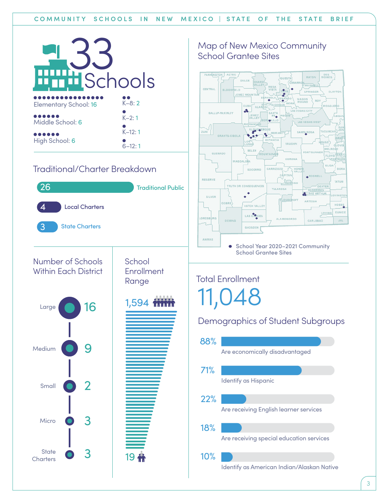

## Traditional/Charter Breakdown



## Map of New Mexico Community School Grantee Sites



School Grantee Sites

## Total Enrollment 11,048

## Demographics of Student Subgroups

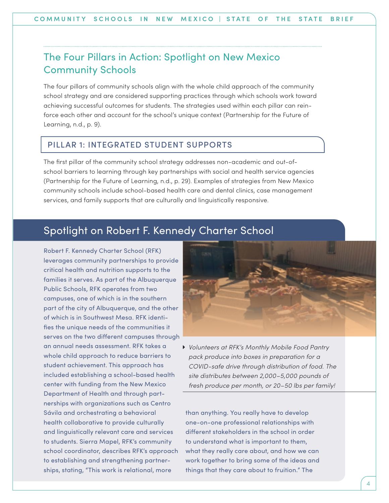## The Four Pillars in Action: Spotlight on New Mexico Community Schools

The four pillars of community schools align with the whole child approach of the community school strategy and are considered supporting practices through which schools work toward achieving successful outcomes for students. The strategies used within each pillar can reinforce each other and account for the school's unique context (Partnership for the Future of Learning, n.d., p. 9).

#### PILLAR 1: INTEGRATED STUDENT SUPPORTS

The first pillar of the community school strategy addresses non-academic and out-ofschool barriers to learning through key partnerships with social and health service agencies (Partnership for the Future of Learning, n.d., p. 29). Examples of strategies from New Mexico community schools include school-based health care and dental clinics, case management services, and family supports that are culturally and linguistically responsive.

## Spotlight on Robert F. Kennedy Charter School

Robert F. Kennedy Charter School (RFK) leverages community partnerships to provide critical health and nutrition supports to the families it serves. As part of the Albuquerque Public Schools, RFK operates from two campuses, one of which is in the southern part of the city of Albuquerque, and the other of which is in Southwest Mesa. RFK identifies the unique needs of the communities it serves on the two different campuses through an annual needs assessment. RFK takes a whole child approach to reduce barriers to student achievement. This approach has included establishing a school-based health center with funding from the New Mexico Department of Health and through partnerships with organizations such as Centro Sávila and orchestrating a behavioral health collaborative to provide culturally and linguistically relevant care and services to students. Sierra Mapel, RFK's community school coordinator, describes RFK's approach to establishing and strengthening partnerships, stating, "This work is relational, more



Î *Volunteers at RFK's Monthly Mobile Food Pantry pack produce into boxes in preparation for a COVID-safe drive through distribution of food. The site distributes between 2,000–5,000 pounds of fresh produce per month, or 20–50 lbs per family!*

than anything. You really have to develop one-on-one professional relationships with different stakeholders in the school in order to understand what is important to them, what they really care about, and how we can work together to bring some of the ideas and things that they care about to fruition." The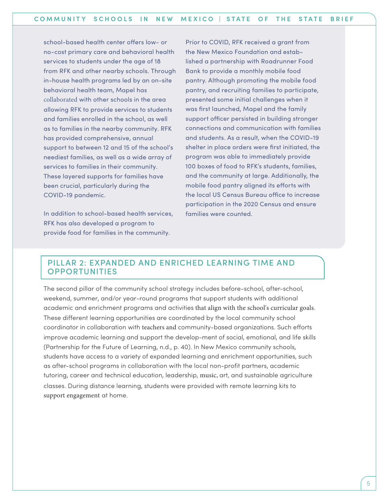school-based health center offers low- or no-cost primary care and behavioral health services to students under the age of 18 from RFK and other nearby schools. Through in-house health programs led by an on-site behavioral health team, Mapel has collaborated with other schools in the area allowing RFK to provide services to students and families enrolled in the school, as well as to families in the nearby community. RFK has provided comprehensive, annual support to between 12 and 15 of the school's neediest families, as well as a wide array of services to families in their community. These layered supports for families have been crucial, particularly during the COVID-19 pandemic.

In addition to school-based health services, RFK has also developed a program to provide food for families in the community.

Prior to COVID, RFK received a grant from the New Mexico Foundation and established a partnership with Roadrunner Food Bank to provide a monthly mobile food pantry. Although promoting the mobile food pantry, and recruiting families to participate, presented some initial challenges when it was first launched, Mapel and the family support officer persisted in building stronger connections and communication with families and students. As a result, when the COVID-19 shelter in place orders were first initiated, the program was able to immediately provide 100 boxes of food to RFK's students, families, and the community at large. Additionally, the mobile food pantry aligned its efforts with the local US Census Bureau office to increase participation in the 2020 Census and ensure families were counted.

#### PILLAR 2: EXPANDED AND ENRICHED LEARNING TIME AND **OPPORTUNITIES**

The second pillar of the community school strategy includes before-school, after-school, weekend, summer, and/or year-round programs that support students with additional academic and enrichment programs and activities that align with the school's curricular goals. These different learning opportunities are coordinated by the local community school coordinator in collaboration with teachers and community-based organizations. Such efforts improve academic learning and support the develop-ment of social, emotional, and life skills (Partnership for the Future of Learning, n.d., p. 40). In New Mexico community schools, students have access to a variety of expanded learning and enrichment opportunities, such as after-school programs in collaboration with the local non-profit partners, academic tutoring, career and technical education, leadership, music, art, and sustainable agriculture classes. During distance learning, students were provided with remote learning kits to support engagement at home.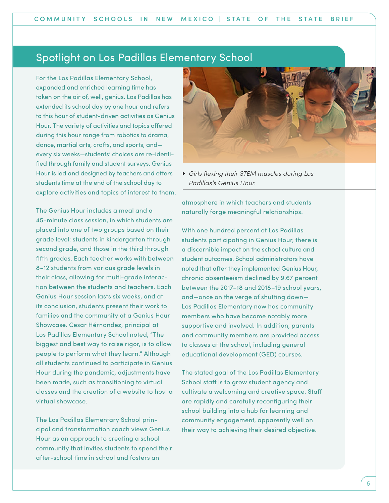## Spotlight on Los Padillas Elementary School

For the Los Padillas Elementary School, expanded and enriched learning time has taken on the air of, well, genius. Los Padillas has extended its school day by one hour and refers to this hour of student-driven activities as Genius Hour. The variety of activities and topics offered during this hour range from robotics to drama, dance, martial arts, crafts, and sports, and every six weeks—students' choices are re-identified through family and student surveys. Genius Hour is led and designed by teachers and offers students time at the end of the school day to explore activities and topics of interest to them.

The Genius Hour includes a meal and a 45-minute class session, in which students are placed into one of two groups based on their grade level: students in kindergarten through second grade, and those in the third through fifth grades. Each teacher works with between 8–12 students from various grade levels in their class, allowing for multi-grade interaction between the students and teachers. Each Genius Hour session lasts six weeks, and at its conclusion, students present their work to families and the community at a Genius Hour Showcase. Cesar Hérnandez, principal at Los Padillas Elementary School noted, "The biggest and best way to raise rigor, is to allow people to perform what they learn." Although all students continued to participate in Genius Hour during the pandemic, adjustments have been made, such as transitioning to virtual classes and the creation of a website to host a virtual showcase.

The Los Padillas Elementary School principal and transformation coach views Genius Hour as an approach to creating a school community that invites students to spend their after-school time in school and fosters an



Î *Girls flexing their STEM muscles during Los Padillas's Genius Hour.*

atmosphere in which teachers and students naturally forge meaningful relationships.

With one hundred percent of Los Padillas students participating in Genius Hour, there is a discernible impact on the school culture and student outcomes. School administrators have noted that after they implemented Genius Hour, chronic absenteeism declined by 9.67 percent between the 2017–18 and 2018–19 school years, and—once on the verge of shutting down— Los Padillas Elementary now has community members who have become notably more supportive and involved. In addition, parents and community members are provided access to classes at the school, including general educational development (GED) courses.

The stated goal of the Los Padillas Elementary School staff is to grow student agency and cultivate a welcoming and creative space. Staff are rapidly and carefully reconfiguring their school building into a hub for learning and community engagement, apparently well on their way to achieving their desired objective.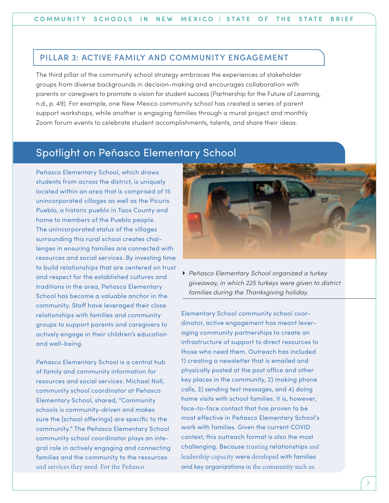#### PILLAR 3: ACTIVE FAMILY AND COMMUNITY ENGAGEMENT

The third pillar of the community school strategy embraces the experiences of stakeholder groups from diverse backgrounds in decision-making and encourages collaboration with parents or caregivers to promote a vision for student success (Partnership for the Future of Learning, n.d., p. 49). For example, one New Mexico community school has created a series of parent support workshops, while another is engaging families through a mural project and monthly Zoom forum events to celebrate student accomplishments, talents, and share their ideas.

## Spotlight on Peñasco Elementary School

Peñasco Elementary School, which draws students from across the district, is uniquely located within an area that is comprised of 15 unincorporated villages as well as the Picuris Pueblo, a historic pueblo in Taos County and home to members of the Pueblo people. The unincorporated status of the villages surrounding this rural school creates challenges in ensuring families are connected with resources and social services. By investing time to build relationships that are centered on trust and respect for the established cultures and traditions in the area, Peñasco Elementary School has become a valuable anchor in the community. Staff have leveraged their close relationships with families and community groups to support parents and caregivers to actively engage in their children's education and well-being.

Peñasco Elementary School is a central hub of family and community information for resources and social services. Michael Noll, community school coordinator at Peñasco Elementary School, shared, "Community schools is community-driven and makes sure the [school offerings] are specific to the community." The Peñasco Elementary School community school coordinator plays an integral role in actively engaging and connecting families and the community to the resources and services they need. For the Peñasco



Î *Peñasco Elementary School organized a turkey giveaway, in which 225 turkeys were given to district families during the Thanksgiving holiday.* 

Elementary School community school coordinator, active engagement has meant leveraging community partnerships to create an infrastructure of support to direct resources to those who need them. Outreach has included 1) creating a newsletter that is emailed and physically posted at the post office and other key places in the community, 2) making phone calls, 3) sending text messages, and 4) doing home visits with school families. It is, however, face-to-face contact that has proven to be most effective in Peñasco Elementary School's work with families. Given the current COVID context, this outreach format is also the most challenging. Because trusting relationships and leadership capacity were developed with families and key organizations in the community such as: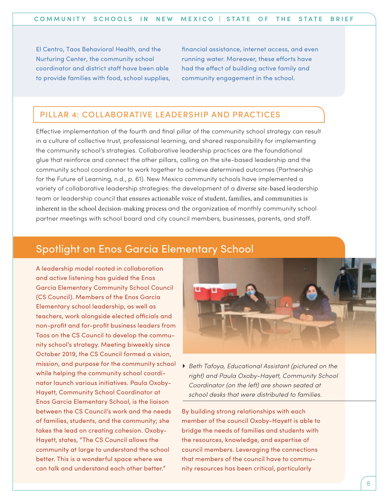El Centro, Taos Behavioral Health, and the Nurturing Center, the community school coordinator and district staff have been able to provide families with food, school supplies, financial assistance, internet access, and even running water. Moreover, these efforts have had the effect of building active family and community engagement in the school.

#### PILLAR 4: COLLABORATIVE LEADERSHIP AND PRACTICES

Effective implementation of the fourth and final pillar of the community school strategy can result in a culture of collective trust, professional learning, and shared responsibility for implementing the community school's strategies. Collaborative leadership practices are the foundational glue that reinforce and connect the other pillars, calling on the site-based leadership and the community school coordinator to work together to achieve determined outcomes (Partnership for the Future of Learning, n.d., p. 61). New Mexico community schools have implemented a variety of collaborative leadership strategies: the development of a diverse site-based leadership team or leadership council that ensures actionable voice of student, families, and communities is inherent in the school decision-making process and the organization of monthly community school partner meetings with school board and city council members, businesses, parents, and staff.

## Spotlight on Enos Garcia Elementary School

A leadership model rooted in collaboration and active listening has guided the Enos Garcia Elementary Community School Council (CS Council). Members of the Enos Garcia Elementary school leadership, as well as teachers, work alongside elected officials and non-profit and for-profit business leaders from Taos on the CS Council to develop the community school's strategy. Meeting biweekly since October 2019, the CS Council formed a vision, mission, and purpose for the community school while helping the community school coordinator launch various initiatives. Paula Oxoby-Hayett, Community School Coordinator at Enos Garcia Elementary School, is the liaison between the CS Council's work and the needs of families, students, and the community; she takes the lead on creating cohesion. Oxoby-Hayett, states, "The CS Council allows the community at large to understand the school better. This is a wonderful space where we can talk and understand each other better."



▶ Beth Tafoya, Educational Assistant (pictured on the *right) and Paula Oxoby-Hayett, Community School Coordinator (on the left) are shown seated at school desks that were distributed to families.*

By building strong relationships with each member of the council Oxoby-Hayett is able to bridge the needs of families and students with the resources, knowledge, and expertise of council members. Leveraging the connections that members of the council have to community resources has been critical, particularly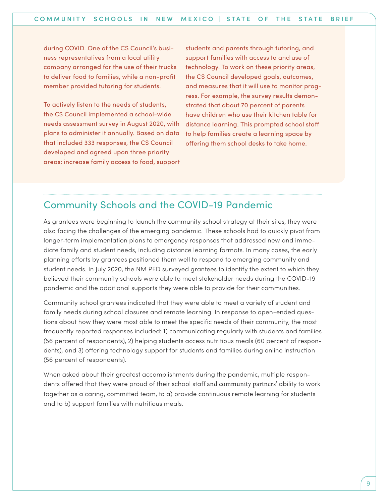during COVID. One of the CS Council's business representatives from a local utility company arranged for the use of their trucks to deliver food to families, while a non-profit member provided tutoring for students.

To actively listen to the needs of students, the CS Council implemented a school-wide needs assessment survey in August 2020, with plans to administer it annually. Based on data that included 333 responses, the CS Council developed and agreed upon three priority areas: increase family access to food, support

students and parents through tutoring, and support families with access to and use of technology. To work on these priority areas, the CS Council developed goals, outcomes, and measures that it will use to monitor progress. For example, the survey results demonstrated that about 70 percent of parents have children who use their kitchen table for distance learning. This prompted school staff to help families create a learning space by offering them school desks to take home.

#### Community Schools and the COVID-19 Pandemic

As grantees were beginning to launch the community school strategy at their sites, they were also facing the challenges of the emerging pandemic. These schools had to quickly pivot from longer-term implementation plans to emergency responses that addressed new and immediate family and student needs, including distance learning formats. In many cases, the early planning efforts by grantees positioned them well to respond to emerging community and student needs. In July 2020, the NM PED surveyed grantees to identify the extent to which they believed their community schools were able to meet stakeholder needs during the COVID-19 pandemic and the additional supports they were able to provide for their communities.

Community school grantees indicated that they were able to meet a variety of student and family needs during school closures and remote learning. In response to open-ended questions about how they were most able to meet the specific needs of their community, the most frequently reported responses included: 1) communicating regularly with students and families (56 percent of respondents), 2) helping students access nutritious meals (60 percent of respondents), and 3) offering technology support for students and families during online instruction (56 percent of respondents).

When asked about their greatest accomplishments during the pandemic, multiple respondents offered that they were proud of their school staff and community partners' ability to work together as a caring, committed team, to a) provide continuous remote learning for students and to b) support families with nutritious meals.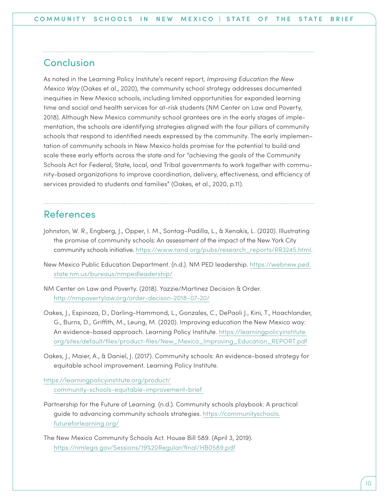## Conclusion

As noted in the Learning Policy Institute's recent report, *Improving Education the New Mexico Way* (Oakes et al., 2020), the community school strategy addresses documented inequities in New Mexico schools, including limited opportunities for expanded learning time and social and health services for at-risk students (NM Center on Law and Poverty, 2018). Although New Mexico community school grantees are in the early stages of implementation, the schools are identifying strategies aligned with the four pillars of community schools that respond to identified needs expressed by the community. The early implementation of community schools in New Mexico holds promise for the potential to build and scale these early efforts across the state and for "achieving the goals of the Community Schools Act for Federal, State, local, and Tribal governments to work together with community-based organizations to improve coordination, delivery, effectiveness, and efficiency of services provided to students and families" (Oakes, et al., 2020, p.11).

#### References

- Johnston, W. R., Engberg, J., Opper, I. M., Sontag-Padilla, L., & Xenakis, L. (2020). Illustrating the promise of community schools: An assessment of the impact of the New York City community schools initiative. [https://www.rand.org/pubs/research\\_reports/RR3245.html.](https://www.rand.org/pubs/research_reports/RR3245.html)
- New Mexico Public Education Department. (n.d.). NM PED leadership. [https://webnew.ped.](https://webnew.ped.state.nm.us/bureaus/nmpedleadership/) [state.nm.us/bureaus/nmpedleadership/](https://webnew.ped.state.nm.us/bureaus/nmpedleadership/)
- NM Center on Law and Poverty. (2018). Yazzie/Martinez Decision & Order. <http://nmpovertylaw.org/order-decison-2018-07-20/>
- Oakes, J., Espinoza, D., Darling-Hammond, L., Gonzales, C., DePaoli J., Kini, T., Hoachlander, G., Burns, D., Griffith, M., Leung, M. (2020). Improving education the New Mexico way: An evidence-based approach. Learning Policy Institute. [https://learningpolicyinstitute.](https://learningpolicyinstitute.org/sites/default/files/product-files/New_Mexico_Improving_Education_REPORT.pdf) [org/sites/default/files/product-files/New\\_Mexico\\_Improving\\_Education\\_REPORT.pdf](https://learningpolicyinstitute.org/sites/default/files/product-files/New_Mexico_Improving_Education_REPORT.pdf)
- Oakes, J., Maier, A., & Daniel, J. (2017). Community schools: An evidence-based strategy for equitable school improvement. Learning Policy Institute.

[https://learningpolicyinstitute.org/product/](https://learningpolicyinstitute.org/product/community-schools-equitable-improvement-brief) [community-schools-equitable-improvement-brief](https://learningpolicyinstitute.org/product/community-schools-equitable-improvement-brief)

- Partnership for the Future of Learning. (n.d.). Community schools playbook: A practical guide to advancing community schools strategies. [https://communityschools.](https://communityschools.futureforlearning.org/) [futureforlearning.org/](https://communityschools.futureforlearning.org/)
- The New Mexico Community Schools Act. House Bill 589. (April 3, 2019). <https://nmlegis.gov/Sessions/19%20Regular/final/HB0589.pdf>